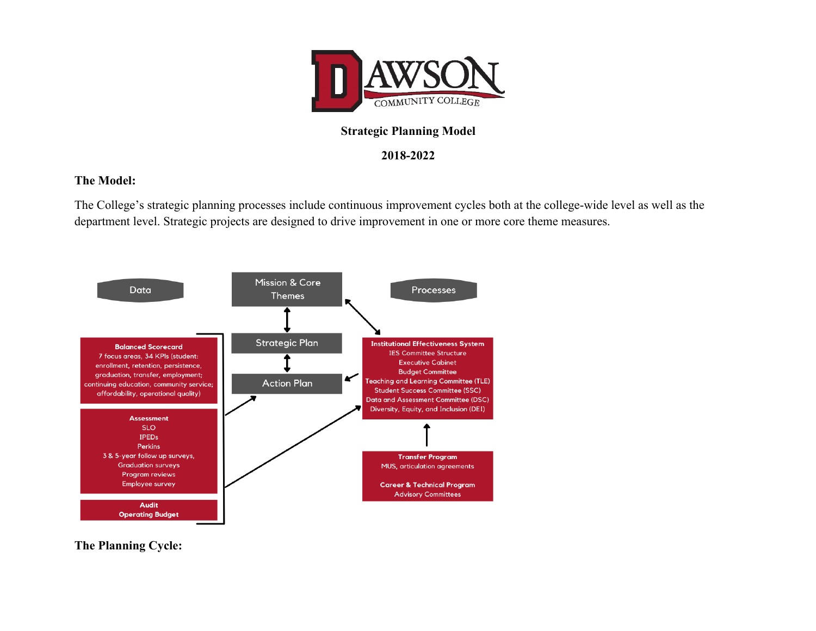

## **Strategic Planning Model**

## **2018-2022**

## **The Model:**

The College's strategic planning processes include continuous improvement cycles both at the college-wide level as well as the department level. Strategic projects are designed to drive improvement in one or more core theme measures.



**The Planning Cycle:**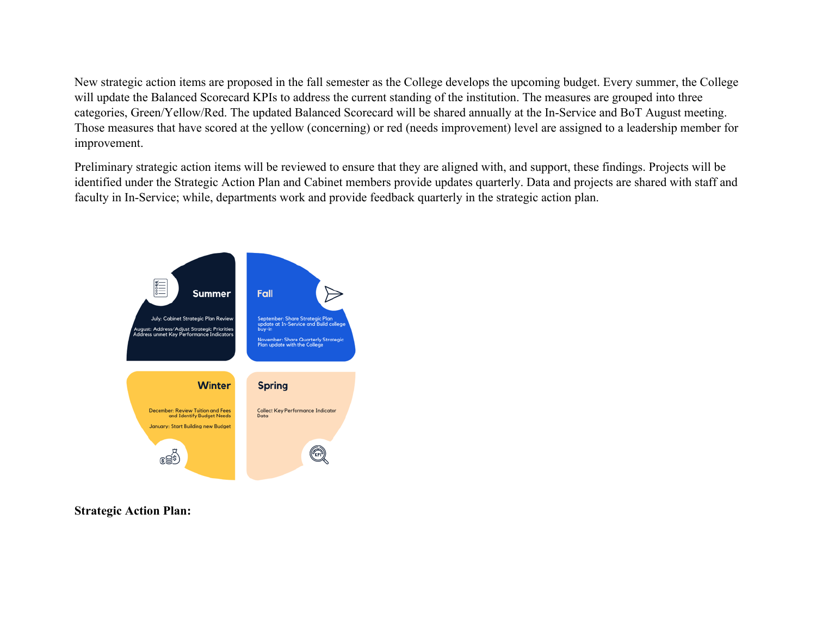New strategic action items are proposed in the fall semester as the College develops the upcoming budget. Every summer, the College will update the Balanced Scorecard KPIs to address the current standing of the institution. The measures are grouped into three categories, Green/Yellow/Red. The updated Balanced Scorecard will be shared annually at the In-Service and BoT August meeting. Those measures that have scored at the yellow (concerning) or red (needs improvement) level are assigned to a leadership member for improvement.

Preliminary strategic action items will be reviewed to ensure that they are aligned with, and support, these findings. Projects will be identified under the Strategic Action Plan and Cabinet members provide updates quarterly. Data and projects are shared with staff and faculty in In-Service; while, departments work and provide feedback quarterly in the strategic action plan.



**Strategic Action Plan:**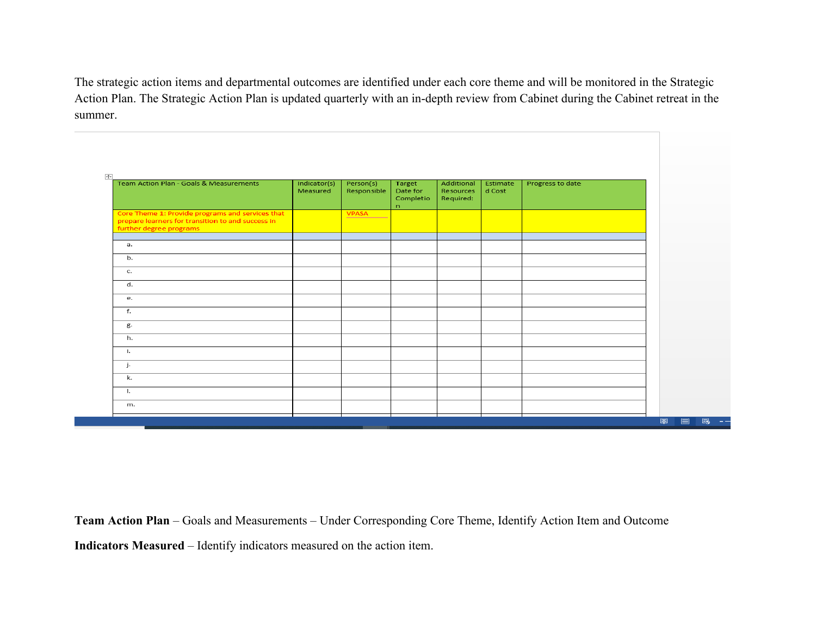The strategic action items and departmental outcomes are identified under each core theme and will be monitored in the Strategic Action Plan. The Strategic Action Plan is updated quarterly with an in-depth review from Cabinet during the Cabinet retreat in the summer.

| Team Action Plan - Goals & Measurements                                                                                          | Indicator(s)<br>Measured | Person(s)<br>Responsible | Target<br>Date for<br>Completio<br>n | Additional<br><b>Resources</b><br>Required: | Estimate<br>d Cost | Progress to date |
|----------------------------------------------------------------------------------------------------------------------------------|--------------------------|--------------------------|--------------------------------------|---------------------------------------------|--------------------|------------------|
| Core Theme 1: Provide programs and services that<br>prepare learners for transition to and success in<br>further degree programs |                          | <b>VPASA</b>             |                                      |                                             |                    |                  |
| а.                                                                                                                               |                          |                          |                                      |                                             |                    |                  |
| b.                                                                                                                               |                          |                          |                                      |                                             |                    |                  |
| c.                                                                                                                               |                          |                          |                                      |                                             |                    |                  |
| d.                                                                                                                               |                          |                          |                                      |                                             |                    |                  |
| e.                                                                                                                               |                          |                          |                                      |                                             |                    |                  |
| f.                                                                                                                               |                          |                          |                                      |                                             |                    |                  |
| g.                                                                                                                               |                          |                          |                                      |                                             |                    |                  |
| h.                                                                                                                               |                          |                          |                                      |                                             |                    |                  |
| i.                                                                                                                               |                          |                          |                                      |                                             |                    |                  |
| j.                                                                                                                               |                          |                          |                                      |                                             |                    |                  |
| k.                                                                                                                               |                          |                          |                                      |                                             |                    |                  |
| Ι.                                                                                                                               |                          |                          |                                      |                                             |                    |                  |
| m.                                                                                                                               |                          |                          |                                      |                                             |                    |                  |

**Team Action Plan** – Goals and Measurements – Under Corresponding Core Theme, Identify Action Item and Outcome **Indicators Measured** – Identify indicators measured on the action item.